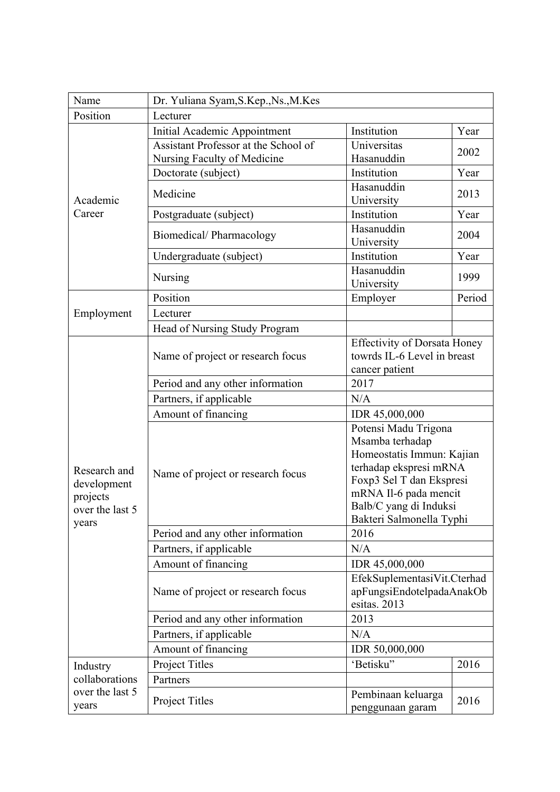| Name                     | Dr. Yuliana Syam, S.Kep., Ns., M.Kes                                |                                                                                      |        |  |
|--------------------------|---------------------------------------------------------------------|--------------------------------------------------------------------------------------|--------|--|
| Position                 | Lecturer                                                            |                                                                                      |        |  |
|                          | Initial Academic Appointment                                        | Institution                                                                          | Year   |  |
|                          | Assistant Professor at the School of<br>Nursing Faculty of Medicine | Universitas<br>Hasanuddin                                                            | 2002   |  |
|                          | Doctorate (subject)                                                 | Institution                                                                          | Year   |  |
| Academic                 | Medicine                                                            | Hasanuddin<br>University                                                             | 2013   |  |
| Career                   | Postgraduate (subject)                                              | Institution                                                                          | Year   |  |
|                          | Biomedical/Pharmacology                                             | Hasanuddin<br>University                                                             | 2004   |  |
|                          | Undergraduate (subject)                                             | Institution                                                                          | Year   |  |
|                          | Nursing                                                             | Hasanuddin<br>University                                                             | 1999   |  |
|                          | Position                                                            | Employer                                                                             | Period |  |
| Employment               | Lecturer                                                            |                                                                                      |        |  |
|                          | Head of Nursing Study Program                                       |                                                                                      |        |  |
|                          | Name of project or research focus                                   | <b>Effectivity of Dorsata Honey</b><br>towrds IL-6 Level in breast<br>cancer patient |        |  |
|                          | Period and any other information                                    | 2017                                                                                 |        |  |
|                          | Partners, if applicable                                             | N/A                                                                                  |        |  |
|                          | Amount of financing                                                 | IDR 45,000,000                                                                       |        |  |
|                          |                                                                     | Potensi Madu Trigona<br>Msamba terhadap                                              |        |  |
| Research and             | Name of project or research focus                                   | Homeostatis Immun: Kajian<br>terhadap ekspresi mRNA<br>Foxp3 Sel T dan Ekspresi      |        |  |
| development<br>projects  |                                                                     | mRNA Il-6 pada mencit                                                                |        |  |
| over the last 5          |                                                                     | Balb/C yang di Induksi                                                               |        |  |
| years                    |                                                                     | Bakteri Salmonella Typhi                                                             |        |  |
|                          | Period and any other information                                    | 2016                                                                                 |        |  |
|                          | Partners, if applicable                                             | N/A                                                                                  |        |  |
|                          | Amount of financing                                                 | IDR 45,000,000                                                                       |        |  |
|                          | Name of project or research focus                                   | EfekSuplementasiVit.Cterhad<br>apFungsiEndotelpadaAnakOb<br>esitas. 2013             |        |  |
|                          | Period and any other information                                    | 2013                                                                                 |        |  |
|                          | Partners, if applicable                                             | N/A                                                                                  |        |  |
|                          | Amount of financing                                                 | IDR 50,000,000                                                                       |        |  |
| Industry                 | Project Titles                                                      | 'Betisku"                                                                            | 2016   |  |
| collaborations           | Partners                                                            |                                                                                      |        |  |
| over the last 5<br>years | Project Titles                                                      | Pembinaan keluarga<br>penggunaan garam                                               | 2016   |  |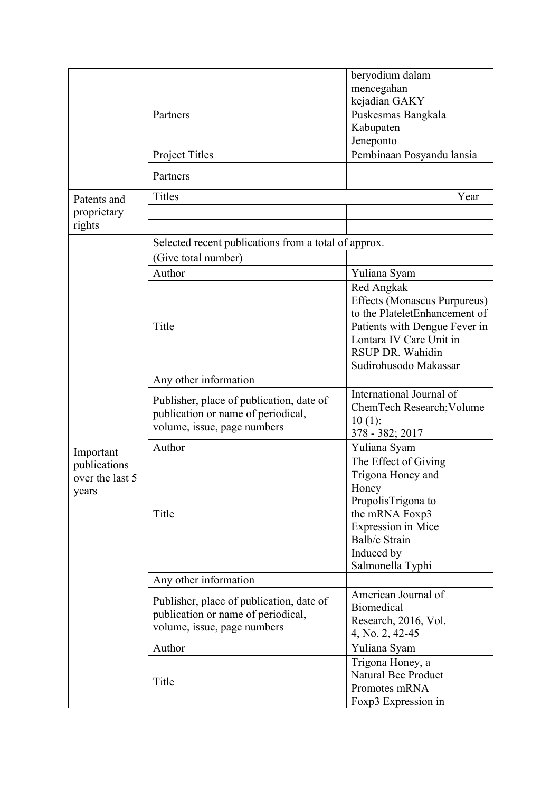|                                      |                                                      | beryodium dalam                     |      |  |
|--------------------------------------|------------------------------------------------------|-------------------------------------|------|--|
|                                      |                                                      | mencegahan                          |      |  |
|                                      |                                                      | kejadian GAKY                       |      |  |
|                                      | Partners                                             | Puskesmas Bangkala                  |      |  |
|                                      |                                                      | Kabupaten                           |      |  |
|                                      |                                                      | Jeneponto                           |      |  |
|                                      | Project Titles                                       | Pembinaan Posyandu lansia           |      |  |
|                                      | Partners                                             |                                     |      |  |
| Patents and<br>proprietary<br>rights | <b>Titles</b>                                        |                                     | Year |  |
|                                      |                                                      |                                     |      |  |
|                                      |                                                      |                                     |      |  |
|                                      | Selected recent publications from a total of approx. |                                     |      |  |
|                                      | (Give total number)                                  |                                     |      |  |
|                                      | Author                                               | Yuliana Syam                        |      |  |
|                                      |                                                      | Red Angkak                          |      |  |
|                                      |                                                      | <b>Effects (Monascus Purpureus)</b> |      |  |
|                                      |                                                      | to the PlateletEnhancement of       |      |  |
|                                      | Title                                                | Patients with Dengue Fever in       |      |  |
|                                      |                                                      | Lontara IV Care Unit in             |      |  |
|                                      |                                                      | RSUP DR. Wahidin                    |      |  |
|                                      |                                                      | Sudirohusodo Makassar               |      |  |
|                                      | Any other information                                |                                     |      |  |
|                                      |                                                      | International Journal of            |      |  |
|                                      | Publisher, place of publication, date of             | ChemTech Research; Volume           |      |  |
|                                      | publication or name of periodical,                   | $10(1)$ :                           |      |  |
|                                      | volume, issue, page numbers                          | 378 - 382; 2017                     |      |  |
|                                      | Author                                               | Yuliana Syam                        |      |  |
| Important<br>publications            |                                                      | The Effect of Giving                |      |  |
| over the last 5                      |                                                      | Trigona Honey and                   |      |  |
| years                                |                                                      | Honey                               |      |  |
|                                      |                                                      | PropolisTrigona to                  |      |  |
|                                      | Title                                                | the mRNA Foxp3                      |      |  |
|                                      |                                                      | Expression in Mice                  |      |  |
|                                      |                                                      | Balb/c Strain                       |      |  |
|                                      |                                                      | Induced by                          |      |  |
|                                      |                                                      | Salmonella Typhi                    |      |  |
|                                      | Any other information                                |                                     |      |  |
|                                      |                                                      | American Journal of                 |      |  |
|                                      | Publisher, place of publication, date of             | Biomedical                          |      |  |
|                                      | publication or name of periodical,                   | Research, 2016, Vol.                |      |  |
|                                      | volume, issue, page numbers                          | 4, No. 2, 42-45                     |      |  |
|                                      | Author                                               | Yuliana Syam                        |      |  |
|                                      |                                                      | Trigona Honey, a                    |      |  |
|                                      |                                                      | <b>Natural Bee Product</b>          |      |  |
|                                      | Title                                                | Promotes mRNA                       |      |  |
|                                      |                                                      | Foxp3 Expression in                 |      |  |